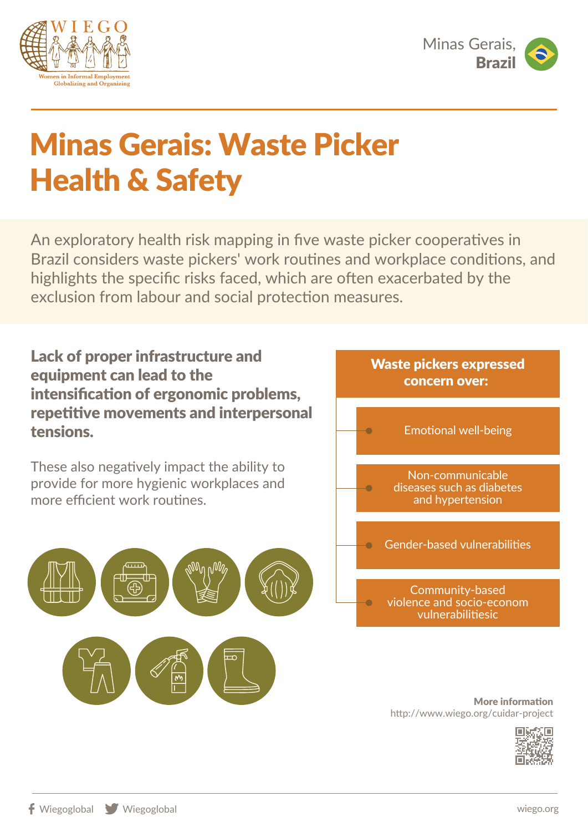



## Minas Gerais: Waste Picker Health & Safety

An exploratory health risk mapping in five waste picker cooperatives in Brazil considers waste pickers' work routines and workplace conditions, and highlights the specific risks faced, which are often exacerbated by the exclusion from labour and social protection measures.

Lack of proper infrastructure and equipment can lead to the intensification of ergonomic problems, repetitive movements and interpersonal tensions.

These also negatively impact the ability to provide for more hygienic workplaces and more efficient work routines.





More information http://www.wiego.org/cuidar-project